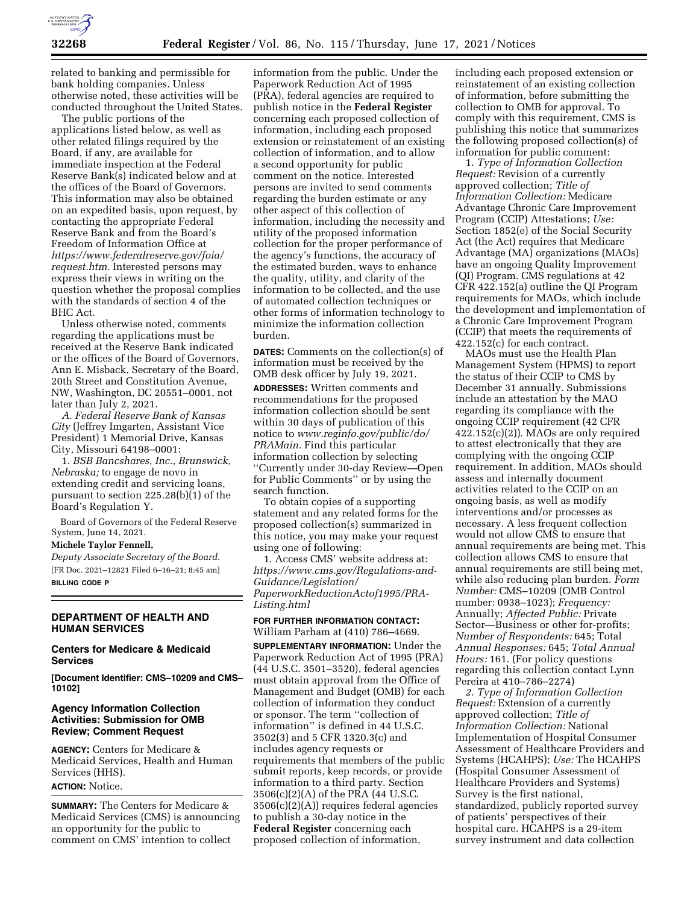

related to banking and permissible for bank holding companies. Unless otherwise noted, these activities will be conducted throughout the United States.

The public portions of the applications listed below, as well as other related filings required by the Board, if any, are available for immediate inspection at the Federal Reserve Bank(s) indicated below and at the offices of the Board of Governors. This information may also be obtained on an expedited basis, upon request, by contacting the appropriate Federal Reserve Bank and from the Board's Freedom of Information Office at *[https://www.federalreserve.gov/foia/](https://www.federalreserve.gov/foia/request.htm) [request.htm.](https://www.federalreserve.gov/foia/request.htm)* Interested persons may express their views in writing on the question whether the proposal complies with the standards of section 4 of the BHC Act.

Unless otherwise noted, comments regarding the applications must be received at the Reserve Bank indicated or the offices of the Board of Governors, Ann E. Misback, Secretary of the Board, 20th Street and Constitution Avenue, NW, Washington, DC 20551–0001, not later than July 2, 2021.

*A. Federal Reserve Bank of Kansas City* (Jeffrey Imgarten, Assistant Vice President) 1 Memorial Drive, Kansas City, Missouri 64198–0001:

1. *BSB Bancshares, Inc., Brunswick, Nebraska;* to engage de novo in extending credit and servicing loans, pursuant to section 225.28(b)(1) of the Board's Regulation Y.

Board of Governors of the Federal Reserve System, June 14, 2021.

# **Michele Taylor Fennell,**

*Deputy Associate Secretary of the Board.*  [FR Doc. 2021–12821 Filed 6–16–21; 8:45 am] **BILLING CODE P** 

## **DEPARTMENT OF HEALTH AND HUMAN SERVICES**

#### **Centers for Medicare & Medicaid Services**

**[Document Identifier: CMS–10209 and CMS– 10102]** 

### **Agency Information Collection Activities: Submission for OMB Review; Comment Request**

**AGENCY:** Centers for Medicare & Medicaid Services, Health and Human Services (HHS).

# **ACTION:** Notice.

**SUMMARY:** The Centers for Medicare & Medicaid Services (CMS) is announcing an opportunity for the public to comment on CMS' intention to collect

information from the public. Under the Paperwork Reduction Act of 1995 (PRA), federal agencies are required to publish notice in the **Federal Register**  concerning each proposed collection of information, including each proposed extension or reinstatement of an existing collection of information, and to allow a second opportunity for public comment on the notice. Interested persons are invited to send comments regarding the burden estimate or any other aspect of this collection of information, including the necessity and utility of the proposed information collection for the proper performance of the agency's functions, the accuracy of the estimated burden, ways to enhance the quality, utility, and clarity of the information to be collected, and the use of automated collection techniques or other forms of information technology to minimize the information collection burden.

**DATES:** Comments on the collection(s) of information must be received by the OMB desk officer by July 19, 2021.

**ADDRESSES:** Written comments and recommendations for the proposed information collection should be sent within 30 days of publication of this notice to *[www.reginfo.gov/public/do/](http://www.reginfo.gov/public/do/PRAMain) [PRAMain.](http://www.reginfo.gov/public/do/PRAMain)* Find this particular information collection by selecting ''Currently under 30-day Review—Open for Public Comments'' or by using the search function.

To obtain copies of a supporting statement and any related forms for the proposed collection(s) summarized in this notice, you may make your request using one of following:

1. Access CMS' website address at: *[https://www.cms.gov/Regulations-and-](https://www.cms.gov/Regulations-and-Guidance/Legislation/PaperworkReductionActof1995/PRA-Listing.html)[Guidance/Legislation/](https://www.cms.gov/Regulations-and-Guidance/Legislation/PaperworkReductionActof1995/PRA-Listing.html)  [PaperworkReductionActof1995/PRA-](https://www.cms.gov/Regulations-and-Guidance/Legislation/PaperworkReductionActof1995/PRA-Listing.html)[Listing.html](https://www.cms.gov/Regulations-and-Guidance/Legislation/PaperworkReductionActof1995/PRA-Listing.html)* 

**FOR FURTHER INFORMATION CONTACT:**  William Parham at (410) 786–4669.

**SUPPLEMENTARY INFORMATION:** Under the Paperwork Reduction Act of 1995 (PRA) (44 U.S.C. 3501–3520), federal agencies must obtain approval from the Office of Management and Budget (OMB) for each collection of information they conduct or sponsor. The term ''collection of information'' is defined in 44 U.S.C. 3502(3) and 5 CFR 1320.3(c) and includes agency requests or requirements that members of the public submit reports, keep records, or provide information to a third party. Section 3506(c)(2)(A) of the PRA (44 U.S.C. 3506(c)(2)(A)) requires federal agencies to publish a 30-day notice in the **Federal Register** concerning each proposed collection of information,

including each proposed extension or reinstatement of an existing collection of information, before submitting the collection to OMB for approval. To comply with this requirement, CMS is publishing this notice that summarizes the following proposed collection(s) of information for public comment:

1. *Type of Information Collection Request:* Revision of a currently approved collection; *Title of Information Collection:* Medicare Advantage Chronic Care Improvement Program (CCIP) Attestations; *Use:*  Section 1852(e) of the Social Security Act (the Act) requires that Medicare Advantage (MA) organizations (MAOs) have an ongoing Quality Improvement (QI) Program. CMS regulations at 42 CFR 422.152(a) outline the QI Program requirements for MAOs, which include the development and implementation of a Chronic Care Improvement Program (CCIP) that meets the requirements of 422.152(c) for each contract.

MAOs must use the Health Plan Management System (HPMS) to report the status of their CCIP to CMS by December 31 annually. Submissions include an attestation by the MAO regarding its compliance with the ongoing CCIP requirement (42 CFR 422.152(c)(2)). MAOs are only required to attest electronically that they are complying with the ongoing CCIP requirement. In addition, MAOs should assess and internally document activities related to the CCIP on an ongoing basis, as well as modify interventions and/or processes as necessary. A less frequent collection would not allow CMS to ensure that annual requirements are being met. This collection allows CMS to ensure that annual requirements are still being met, while also reducing plan burden. *Form Number:* CMS–10209 (OMB Control number: 0938–1023); *Frequency:*  Annually; *Affected Public:* Private Sector—Business or other for-profits; *Number of Respondents:* 645; Total *Annual Responses:* 645; *Total Annual Hours:* 161. (For policy questions regarding this collection contact Lynn Pereira at 410–786–2274)

*2. Type of Information Collection Request:* Extension of a currently approved collection; *Title of Information Collection:* National Implementation of Hospital Consumer Assessment of Healthcare Providers and Systems (HCAHPS); *Use:* The HCAHPS (Hospital Consumer Assessment of Healthcare Providers and Systems) Survey is the first national, standardized, publicly reported survey of patients' perspectives of their hospital care. HCAHPS is a 29-item survey instrument and data collection